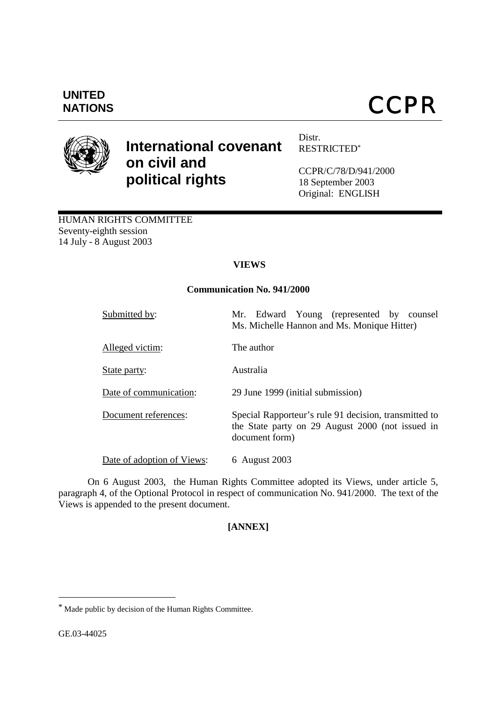# **UNITED**

# NATIONS **NATIONS**



# **International covenant on civil and political rights**

Distr. RESTRICTED\*

CCPR/C/78/D/941/2000 18 September 2003 Original: ENGLISH

HUMAN RIGHTS COMMITTEE Seventy-eighth session 14 July - 8 August 2003

## **VIEWS**

### **Communication No. 941/2000**

| Submitted by:              | Mr. Edward Young (represented by counsel<br>Ms. Michelle Hannon and Ms. Monique Hitter)                                     |  |  |
|----------------------------|-----------------------------------------------------------------------------------------------------------------------------|--|--|
| Alleged victim:            | The author                                                                                                                  |  |  |
| State party:               | Australia                                                                                                                   |  |  |
| Date of communication:     | 29 June 1999 (initial submission)                                                                                           |  |  |
| Document references:       | Special Rapporteur's rule 91 decision, transmitted to<br>the State party on 29 August 2000 (not issued in<br>document form) |  |  |
| Date of adoption of Views: | 6 August 2003                                                                                                               |  |  |

 On 6 August 2003, the Human Rights Committee adopted its Views, under article 5, paragraph 4, of the Optional Protocol in respect of communication No. 941/2000. The text of the Views is appended to the present document.

### **[ANNEX]**

1

<sup>\*</sup> Made public by decision of the Human Rights Committee.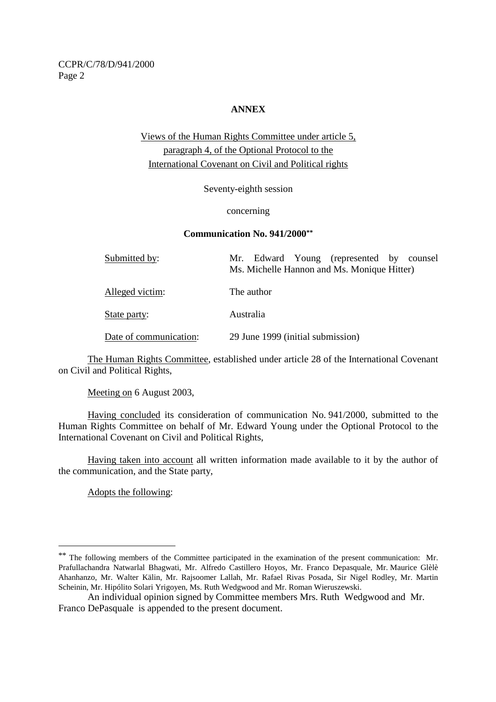#### **ANNEX**

# Views of the Human Rights Committee under article 5, paragraph 4, of the Optional Protocol to the International Covenant on Civil and Political rights

Seventy-eighth session

#### concerning

#### **Communication No. 941/2000\*\***

| Submitted by:          | Mr. Edward Young (represented by counsel<br>Ms. Michelle Hannon and Ms. Monique Hitter) |  |  |
|------------------------|-----------------------------------------------------------------------------------------|--|--|
| Alleged victim:        | The author                                                                              |  |  |
| State party:           | Australia                                                                               |  |  |
| Date of communication: | 29 June 1999 (initial submission)                                                       |  |  |

 The Human Rights Committee, established under article 28 of the International Covenant on Civil and Political Rights,

Meeting on 6 August 2003,

 Having concluded its consideration of communication No. 941/2000, submitted to the Human Rights Committee on behalf of Mr. Edward Young under the Optional Protocol to the International Covenant on Civil and Political Rights,

 Having taken into account all written information made available to it by the author of the communication, and the State party,

Adopts the following:

 $\overline{a}$ 

<sup>\*\*</sup> The following members of the Committee participated in the examination of the present communication: Mr. Prafullachandra Natwarlal Bhagwati, Mr. Alfredo Castillero Hoyos, Mr. Franco Depasquale, Mr. Maurice Glèlè Ahanhanzo, Mr. Walter Kälin, Mr. Rajsoomer Lallah, Mr. Rafael Rivas Posada, Sir Nigel Rodley, Mr. Martin Scheinin, Mr. Hipólito Solari Yrigoyen, Ms. Ruth Wedgwood and Mr. Roman Wieruszewski.

An individual opinion signed by Committee members Mrs. Ruth Wedgwood and Mr. Franco DePasquale is appended to the present document.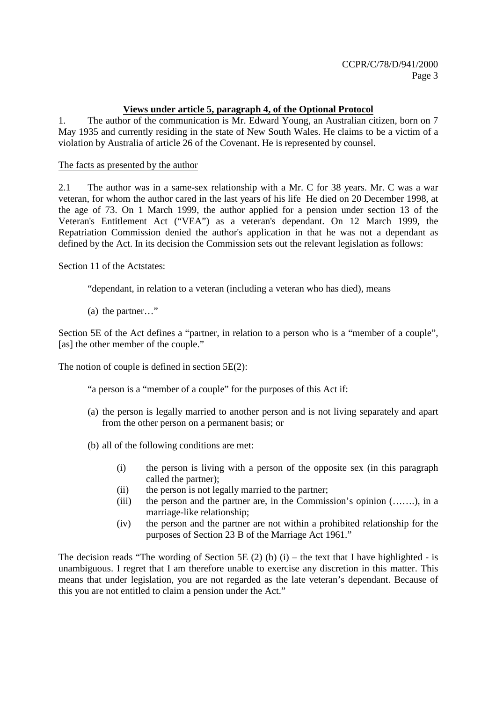#### **Views under article 5, paragraph 4, of the Optional Protocol**

1. The author of the communication is Mr. Edward Young, an Australian citizen, born on 7 May 1935 and currently residing in the state of New South Wales. He claims to be a victim of a violation by Australia of article 26 of the Covenant. He is represented by counsel.

#### The facts as presented by the author

2.1 The author was in a same-sex relationship with a Mr. C for 38 years. Mr. C was a war veteran, for whom the author cared in the last years of his life He died on 20 December 1998, at the age of 73. On 1 March 1999, the author applied for a pension under section 13 of the Veteran's Entitlement Act ("VEA") as a veteran's dependant. On 12 March 1999, the Repatriation Commission denied the author's application in that he was not a dependant as defined by the Act. In its decision the Commission sets out the relevant legislation as follows:

Section 11 of the Actstates:

"dependant, in relation to a veteran (including a veteran who has died), means

(a) the partner…"

Section 5E of the Act defines a "partner, in relation to a person who is a "member of a couple", [as] the other member of the couple."

The notion of couple is defined in section 5E(2):

"a person is a "member of a couple" for the purposes of this Act if:

- (a) the person is legally married to another person and is not living separately and apart from the other person on a permanent basis; or
- (b) all of the following conditions are met:
	- (i) the person is living with a person of the opposite sex (in this paragraph called the partner);
	- (ii) the person is not legally married to the partner;
	- (iii) the person and the partner are, in the Commission's opinion (…….), in a marriage-like relationship;
	- (iv) the person and the partner are not within a prohibited relationship for the purposes of Section 23 B of the Marriage Act 1961."

The decision reads "The wording of Section 5E (2) (b) (i) – the text that I have highlighted - is unambiguous. I regret that I am therefore unable to exercise any discretion in this matter. This means that under legislation, you are not regarded as the late veteran's dependant. Because of this you are not entitled to claim a pension under the Act."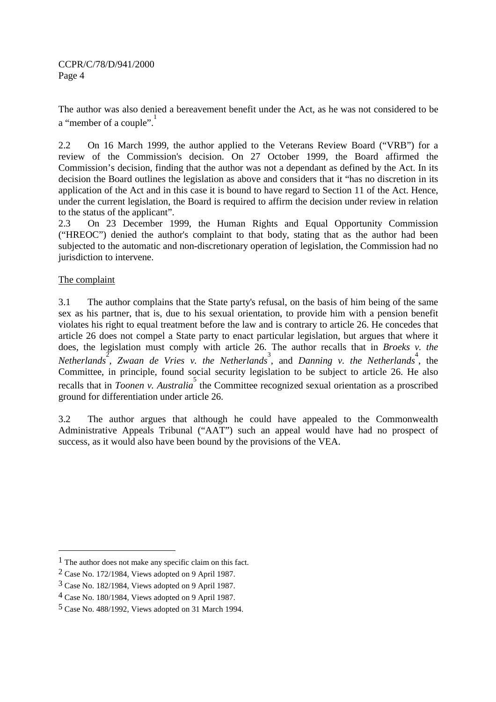The author was also denied a bereavement benefit under the Act, as he was not considered to be a "member of a couple".

2.2 On 16 March 1999, the author applied to the Veterans Review Board ("VRB") for a review of the Commission's decision. On 27 October 1999, the Board affirmed the Commission's decision, finding that the author was not a dependant as defined by the Act. In its decision the Board outlines the legislation as above and considers that it "has no discretion in its application of the Act and in this case it is bound to have regard to Section 11 of the Act. Hence, under the current legislation, the Board is required to affirm the decision under review in relation to the status of the applicant".

2.3 On 23 December 1999, the Human Rights and Equal Opportunity Commission ("HREOC") denied the author's complaint to that body, stating that as the author had been subjected to the automatic and non-discretionary operation of legislation, the Commission had no jurisdiction to intervene.

The complaint

-

3.1 The author complains that the State party's refusal, on the basis of him being of the same sex as his partner, that is, due to his sexual orientation, to provide him with a pension benefit violates his right to equal treatment before the law and is contrary to article 26. He concedes that article 26 does not compel a State party to enact particular legislation, but argues that where it does, the legislation must comply with article 26. The author recalls that in *Broeks v. the*  Netherlands<sup>2</sup>, Zwaan de Vries v. the Netherlands<sup>3</sup>, and Danning v. the Netherlands<sup>4</sup>, the Committee, in principle, found social security legislation to be subject to article 26. He also recalls that in *Toonen v. Australia*<sup>5</sup> the Committee recognized sexual orientation as a proscribed ground for differentiation under article 26.

3.2 The author argues that although he could have appealed to the Commonwealth Administrative Appeals Tribunal ("AAT") such an appeal would have had no prospect of success, as it would also have been bound by the provisions of the VEA.

<sup>1</sup> The author does not make any specific claim on this fact.

<sup>2</sup> Case No. 172/1984, Views adopted on 9 April 1987.

<sup>3</sup> Case No. 182/1984, Views adopted on 9 April 1987.

<sup>4</sup> Case No. 180/1984, Views adopted on 9 April 1987.

<sup>5</sup> Case No. 488/1992, Views adopted on 31 March 1994.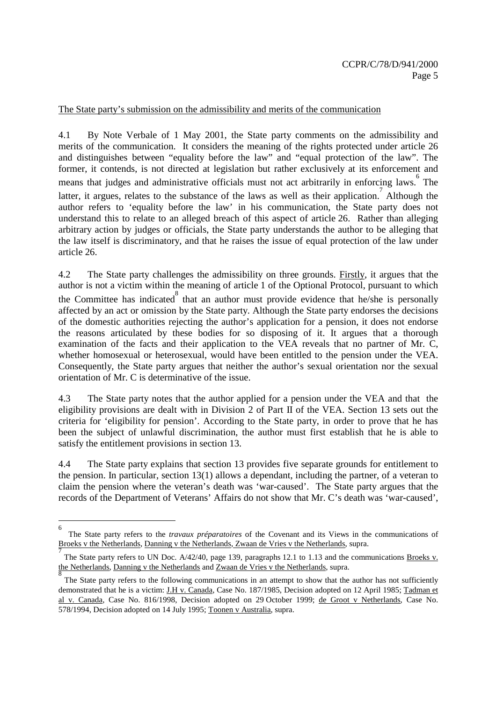#### The State party's submission on the admissibility and merits of the communication

4.1 By Note Verbale of 1 May 2001, the State party comments on the admissibility and merits of the communication. It considers the meaning of the rights protected under article 26 and distinguishes between "equality before the law" and "equal protection of the law". The former, it contends, is not directed at legislation but rather exclusively at its enforcement and means that judges and administrative officials must not act arbitrarily in enforcing laws. <sup>6</sup> The latter, it argues, relates to the substance of the laws as well as their application.<sup>7</sup> Although the author refers to 'equality before the law' in his communication, the State party does not understand this to relate to an alleged breach of this aspect of article 26. Rather than alleging arbitrary action by judges or officials, the State party understands the author to be alleging that the law itself is discriminatory, and that he raises the issue of equal protection of the law under article 26.

4.2 The State party challenges the admissibility on three grounds. Firstly, it argues that the author is not a victim within the meaning of article 1 of the Optional Protocol, pursuant to which the Committee has indicated that an author must provide evidence that he/she is personally affected by an act or omission by the State party. Although the State party endorses the decisions of the domestic authorities rejecting the author's application for a pension, it does not endorse the reasons articulated by these bodies for so disposing of it. It argues that a thorough examination of the facts and their application to the VEA reveals that no partner of Mr. C, whether homosexual or heterosexual, would have been entitled to the pension under the VEA. Consequently, the State party argues that neither the author's sexual orientation nor the sexual orientation of Mr. C is determinative of the issue.

4.3 The State party notes that the author applied for a pension under the VEA and that the eligibility provisions are dealt with in Division 2 of Part II of the VEA. Section 13 sets out the criteria for 'eligibility for pension'. According to the State party, in order to prove that he has been the subject of unlawful discrimination, the author must first establish that he is able to satisfy the entitlement provisions in section 13.

4.4 The State party explains that section 13 provides five separate grounds for entitlement to the pension. In particular, section 13(1) allows a dependant, including the partner, of a veteran to claim the pension where the veteran's death was 'war-caused'. The State party argues that the records of the Department of Veterans' Affairs do not show that Mr. C's death was 'war-caused',

-

<sup>6</sup> The State party refers to the *travaux préparatoires* of the Covenant and its Views in the communications of Broeks v the Netherlands, Danning v the Netherlands, Zwaan de Vries v the Netherlands, supra.

<sup>7</sup> The State party refers to UN Doc. A/42/40, page 139, paragraphs 12.1 to 1.13 and the communications Broeks v. the Netherlands, Danning v the Netherlands and Zwaan de Vries v the Netherlands, supra.

The State party refers to the following communications in an attempt to show that the author has not sufficiently demonstrated that he is a victim: J.H v. Canada, Case No. 187/1985, Decision adopted on 12 April 1985; Tadman et al v. Canada, Case No. 816/1998, Decision adopted on 29 October 1999; de Groot v Netherlands, Case No. 578/1994, Decision adopted on 14 July 1995; Toonen v Australia, supra.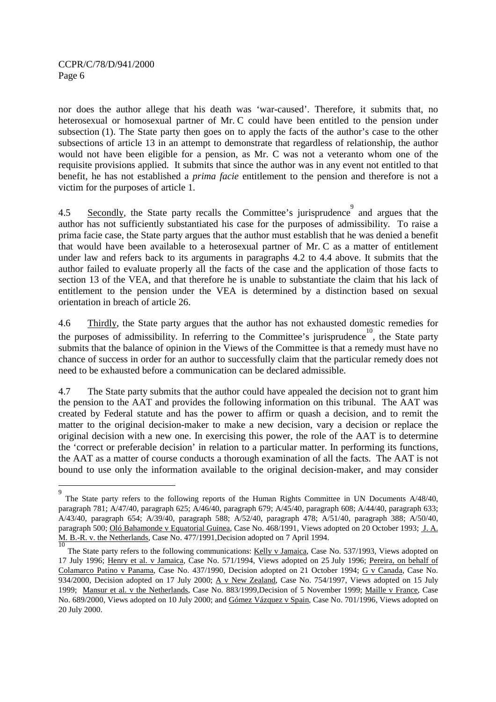-

nor does the author allege that his death was 'war-caused'. Therefore, it submits that, no heterosexual or homosexual partner of Mr. C could have been entitled to the pension under subsection (1). The State party then goes on to apply the facts of the author's case to the other subsections of article 13 in an attempt to demonstrate that regardless of relationship, the author would not have been eligible for a pension, as Mr. C was not a veteranto whom one of the requisite provisions applied. It submits that since the author was in any event not entitled to that benefit, he has not established a *prima facie* entitlement to the pension and therefore is not a victim for the purposes of article 1.

4.5 Secondly, the State party recalls the Committee's jurisprudence and argues that the author has not sufficiently substantiated his case for the purposes of admissibility. To raise a prima facie case, the State party argues that the author must establish that he was denied a benefit that would have been available to a heterosexual partner of Mr. C as a matter of entitlement under law and refers back to its arguments in paragraphs 4.2 to 4.4 above. It submits that the author failed to evaluate properly all the facts of the case and the application of those facts to section 13 of the VEA, and that therefore he is unable to substantiate the claim that his lack of entitlement to the pension under the VEA is determined by a distinction based on sexual orientation in breach of article 26.

4.6 Thirdly, the State party argues that the author has not exhausted domestic remedies for the purposes of admissibility. In referring to the Committee's jurisprudence<sup>10</sup>, the State party submits that the balance of opinion in the Views of the Committee is that a remedy must have no chance of success in order for an author to successfully claim that the particular remedy does not need to be exhausted before a communication can be declared admissible.

4.7 The State party submits that the author could have appealed the decision not to grant him the pension to the AAT and provides the following information on this tribunal. The AAT was created by Federal statute and has the power to affirm or quash a decision, and to remit the matter to the original decision-maker to make a new decision, vary a decision or replace the original decision with a new one. In exercising this power, the role of the AAT is to determine the 'correct or preferable decision' in relation to a particular matter. In performing its functions, the AAT as a matter of course conducts a thorough examination of all the facts. The AAT is not bound to use only the information available to the original decision-maker, and may consider

<sup>9</sup> The State party refers to the following reports of the Human Rights Committee in UN Documents A/48/40, paragraph 781; A/47/40, paragraph 625; A/46/40, paragraph 679; A/45/40, paragraph 608; A/44/40, paragraph 633; A/43/40, paragraph 654; A/39/40, paragraph 588; A/52/40, paragraph 478; A/51/40, paragraph 388; A/50/40, paragraph 500; Oló Bahamonde v Equatorial Guinea, Case No. 468/1991, Views adopted on 20 October 1993; J. A. M. B.-R. v. the Netherlands, Case No. 477/1991,Decision adopted on 7 April 1994.

<sup>10</sup> The State party refers to the following communications: Kelly v Jamaica, Case No. 537/1993, Views adopted on 17 July 1996; Henry et al. v Jamaica, Case No. 571/1994, Views adopted on 25 July 1996; Pereira, on behalf of Colamarco Patino v Panama, Case No. 437/1990, Decision adopted on 21 October 1994; G v Canada, Case No. 934/2000, Decision adopted on 17 July 2000; A v New Zealand, Case No. 754/1997, Views adopted on 15 July 1999; Mansur et al. v the Netherlands, Case No. 883/1999,Decision of 5 November 1999; Maille v France, Case No. 689/2000, Views adopted on 10 July 2000; and Gómez Vázquez v Spain, Case No. 701/1996, Views adopted on 20 July 2000.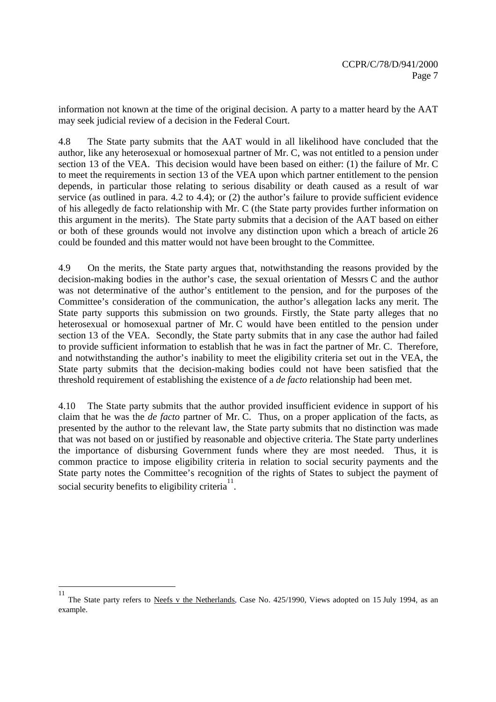information not known at the time of the original decision. A party to a matter heard by the AAT may seek judicial review of a decision in the Federal Court.

4.8 The State party submits that the AAT would in all likelihood have concluded that the author, like any heterosexual or homosexual partner of Mr. C, was not entitled to a pension under section 13 of the VEA. This decision would have been based on either: (1) the failure of Mr. C to meet the requirements in section 13 of the VEA upon which partner entitlement to the pension depends, in particular those relating to serious disability or death caused as a result of war service (as outlined in para. 4.2 to 4.4); or (2) the author's failure to provide sufficient evidence of his allegedly de facto relationship with Mr. C (the State party provides further information on this argument in the merits). The State party submits that a decision of the AAT based on either or both of these grounds would not involve any distinction upon which a breach of article 26 could be founded and this matter would not have been brought to the Committee.

4.9 On the merits, the State party argues that, notwithstanding the reasons provided by the decision-making bodies in the author's case, the sexual orientation of Messrs C and the author was not determinative of the author's entitlement to the pension, and for the purposes of the Committee's consideration of the communication, the author's allegation lacks any merit. The State party supports this submission on two grounds. Firstly, the State party alleges that no heterosexual or homosexual partner of Mr. C would have been entitled to the pension under section 13 of the VEA. Secondly, the State party submits that in any case the author had failed to provide sufficient information to establish that he was in fact the partner of Mr. C. Therefore, and notwithstanding the author's inability to meet the eligibility criteria set out in the VEA, the State party submits that the decision-making bodies could not have been satisfied that the threshold requirement of establishing the existence of a *de facto* relationship had been met.

4.10 The State party submits that the author provided insufficient evidence in support of his claim that he was the *de facto* partner of Mr. C. Thus, on a proper application of the facts, as presented by the author to the relevant law, the State party submits that no distinction was made that was not based on or justified by reasonable and objective criteria. The State party underlines the importance of disbursing Government funds where they are most needed. Thus, it is common practice to impose eligibility criteria in relation to social security payments and the State party notes the Committee's recognition of the rights of States to subject the payment of social security benefits to eligibility criteria<sup>11</sup>.

 $\frac{1}{11}$ The State party refers to Neefs v the Netherlands, Case No. 425/1990, Views adopted on 15 July 1994, as an example.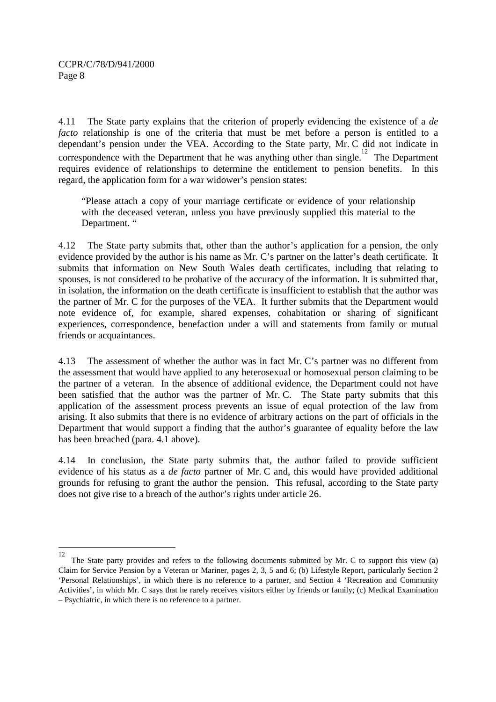4.11 The State party explains that the criterion of properly evidencing the existence of a *de facto* relationship is one of the criteria that must be met before a person is entitled to a dependant's pension under the VEA. According to the State party, Mr. C did not indicate in correspondence with the Department that he was anything other than single.<sup>12</sup> The Department requires evidence of relationships to determine the entitlement to pension benefits. In this regard, the application form for a war widower's pension states:

"Please attach a copy of your marriage certificate or evidence of your relationship with the deceased veteran, unless you have previously supplied this material to the Department. "

4.12 The State party submits that, other than the author's application for a pension, the only evidence provided by the author is his name as Mr. C's partner on the latter's death certificate. It submits that information on New South Wales death certificates, including that relating to spouses, is not considered to be probative of the accuracy of the information. It is submitted that, in isolation, the information on the death certificate is insufficient to establish that the author was the partner of Mr. C for the purposes of the VEA. It further submits that the Department would note evidence of, for example, shared expenses, cohabitation or sharing of significant experiences, correspondence, benefaction under a will and statements from family or mutual friends or acquaintances.

4.13 The assessment of whether the author was in fact Mr. C's partner was no different from the assessment that would have applied to any heterosexual or homosexual person claiming to be the partner of a veteran. In the absence of additional evidence, the Department could not have been satisfied that the author was the partner of Mr. C. The State party submits that this application of the assessment process prevents an issue of equal protection of the law from arising. It also submits that there is no evidence of arbitrary actions on the part of officials in the Department that would support a finding that the author's guarantee of equality before the law has been breached (para. 4.1 above).

4.14 In conclusion, the State party submits that, the author failed to provide sufficient evidence of his status as a *de facto* partner of Mr. C and, this would have provided additional grounds for refusing to grant the author the pension. This refusal, according to the State party does not give rise to a breach of the author's rights under article 26.

 $\frac{1}{12}$ 

The State party provides and refers to the following documents submitted by Mr. C to support this view (a) Claim for Service Pension by a Veteran or Mariner, pages 2, 3, 5 and 6; (b) Lifestyle Report, particularly Section 2 'Personal Relationships', in which there is no reference to a partner, and Section 4 'Recreation and Community Activities', in which Mr. C says that he rarely receives visitors either by friends or family; (c) Medical Examination – Psychiatric, in which there is no reference to a partner.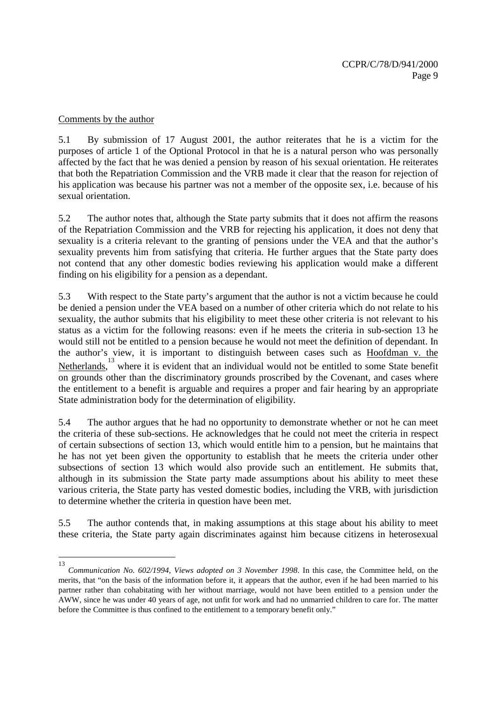#### Comments by the author

5.1 By submission of 17 August 2001, the author reiterates that he is a victim for the purposes of article 1 of the Optional Protocol in that he is a natural person who was personally affected by the fact that he was denied a pension by reason of his sexual orientation. He reiterates that both the Repatriation Commission and the VRB made it clear that the reason for rejection of his application was because his partner was not a member of the opposite sex, i.e. because of his sexual orientation.

5.2 The author notes that, although the State party submits that it does not affirm the reasons of the Repatriation Commission and the VRB for rejecting his application, it does not deny that sexuality is a criteria relevant to the granting of pensions under the VEA and that the author's sexuality prevents him from satisfying that criteria. He further argues that the State party does not contend that any other domestic bodies reviewing his application would make a different finding on his eligibility for a pension as a dependant.

5.3 With respect to the State party's argument that the author is not a victim because he could be denied a pension under the VEA based on a number of other criteria which do not relate to his sexuality, the author submits that his eligibility to meet these other criteria is not relevant to his status as a victim for the following reasons: even if he meets the criteria in sub-section 13 he would still not be entitled to a pension because he would not meet the definition of dependant. In the author's view, it is important to distinguish between cases such as Hoofdman v. the Netherlands,<sup>13</sup> where it is evident that an individual would not be entitled to some State benefit on grounds other than the discriminatory grounds proscribed by the Covenant, and cases where the entitlement to a benefit is arguable and requires a proper and fair hearing by an appropriate State administration body for the determination of eligibility.

5.4 The author argues that he had no opportunity to demonstrate whether or not he can meet the criteria of these sub-sections. He acknowledges that he could not meet the criteria in respect of certain subsections of section 13, which would entitle him to a pension, but he maintains that he has not yet been given the opportunity to establish that he meets the criteria under other subsections of section 13 which would also provide such an entitlement. He submits that, although in its submission the State party made assumptions about his ability to meet these various criteria, the State party has vested domestic bodies, including the VRB, with jurisdiction to determine whether the criteria in question have been met.

5.5 The author contends that, in making assumptions at this stage about his ability to meet these criteria, the State party again discriminates against him because citizens in heterosexual

 $\frac{1}{13}$  *Communication No. 602/1994, Views adopted on 3 November 1998*. In this case, the Committee held, on the merits, that "on the basis of the information before it, it appears that the author, even if he had been married to his partner rather than cohabitating with her without marriage, would not have been entitled to a pension under the AWW, since he was under 40 years of age, not unfit for work and had no unmarried children to care for. The matter before the Committee is thus confined to the entitlement to a temporary benefit only."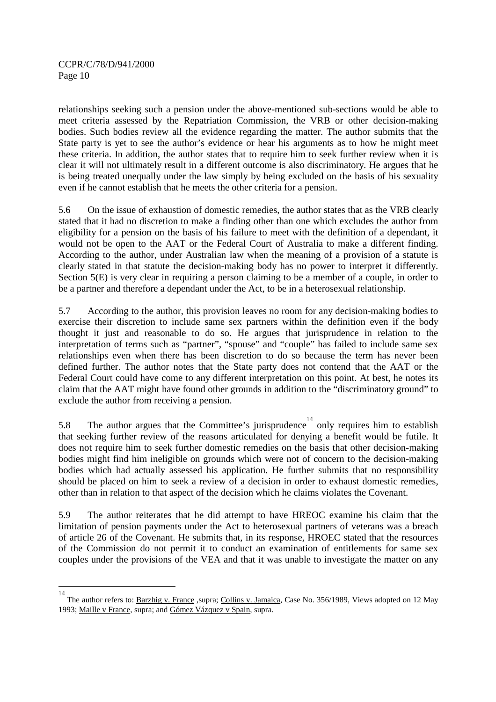relationships seeking such a pension under the above-mentioned sub-sections would be able to meet criteria assessed by the Repatriation Commission, the VRB or other decision-making bodies. Such bodies review all the evidence regarding the matter. The author submits that the State party is yet to see the author's evidence or hear his arguments as to how he might meet these criteria. In addition, the author states that to require him to seek further review when it is clear it will not ultimately result in a different outcome is also discriminatory. He argues that he is being treated unequally under the law simply by being excluded on the basis of his sexuality even if he cannot establish that he meets the other criteria for a pension.

5.6 On the issue of exhaustion of domestic remedies, the author states that as the VRB clearly stated that it had no discretion to make a finding other than one which excludes the author from eligibility for a pension on the basis of his failure to meet with the definition of a dependant, it would not be open to the AAT or the Federal Court of Australia to make a different finding. According to the author, under Australian law when the meaning of a provision of a statute is clearly stated in that statute the decision-making body has no power to interpret it differently. Section 5(E) is very clear in requiring a person claiming to be a member of a couple, in order to be a partner and therefore a dependant under the Act, to be in a heterosexual relationship.

5.7 According to the author, this provision leaves no room for any decision-making bodies to exercise their discretion to include same sex partners within the definition even if the body thought it just and reasonable to do so. He argues that jurisprudence in relation to the interpretation of terms such as "partner", "spouse" and "couple" has failed to include same sex relationships even when there has been discretion to do so because the term has never been defined further. The author notes that the State party does not contend that the AAT or the Federal Court could have come to any different interpretation on this point. At best, he notes its claim that the AAT might have found other grounds in addition to the "discriminatory ground" to exclude the author from receiving a pension.

5.8 The author argues that the Committee's jurisprudence  $14$  only requires him to establish that seeking further review of the reasons articulated for denying a benefit would be futile. It does not require him to seek further domestic remedies on the basis that other decision-making bodies might find him ineligible on grounds which were not of concern to the decision-making bodies which had actually assessed his application. He further submits that no responsibility should be placed on him to seek a review of a decision in order to exhaust domestic remedies, other than in relation to that aspect of the decision which he claims violates the Covenant.

5.9 The author reiterates that he did attempt to have HREOC examine his claim that the limitation of pension payments under the Act to heterosexual partners of veterans was a breach of article 26 of the Covenant. He submits that, in its response, HROEC stated that the resources of the Commission do not permit it to conduct an examination of entitlements for same sex couples under the provisions of the VEA and that it was unable to investigate the matter on any

 14 The author refers to: Barzhig v. France ,supra; Collins v. Jamaica, Case No. 356/1989, Views adopted on 12 May 1993; Maille v France, supra; and Gómez Vázquez v Spain, supra.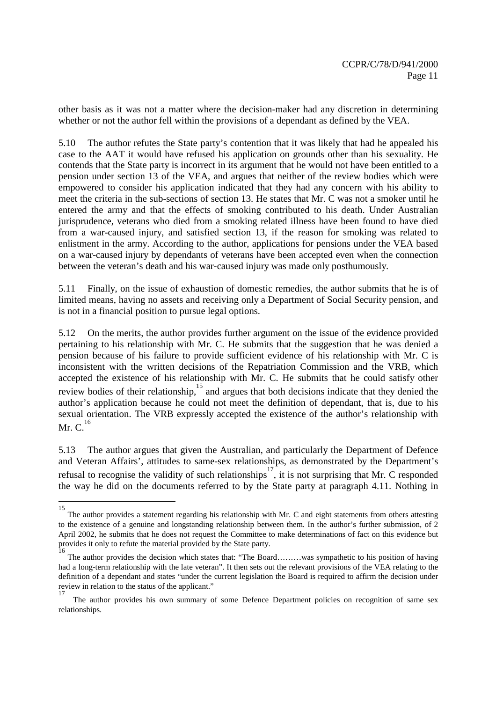other basis as it was not a matter where the decision-maker had any discretion in determining whether or not the author fell within the provisions of a dependant as defined by the VEA.

5.10 The author refutes the State party's contention that it was likely that had he appealed his case to the AAT it would have refused his application on grounds other than his sexuality. He contends that the State party is incorrect in its argument that he would not have been entitled to a pension under section 13 of the VEA, and argues that neither of the review bodies which were empowered to consider his application indicated that they had any concern with his ability to meet the criteria in the sub-sections of section 13. He states that Mr. C was not a smoker until he entered the army and that the effects of smoking contributed to his death. Under Australian jurisprudence, veterans who died from a smoking related illness have been found to have died from a war-caused injury, and satisfied section 13, if the reason for smoking was related to enlistment in the army. According to the author, applications for pensions under the VEA based on a war-caused injury by dependants of veterans have been accepted even when the connection between the veteran's death and his war-caused injury was made only posthumously.

5.11 Finally, on the issue of exhaustion of domestic remedies, the author submits that he is of limited means, having no assets and receiving only a Department of Social Security pension, and is not in a financial position to pursue legal options.

5.12 On the merits, the author provides further argument on the issue of the evidence provided pertaining to his relationship with Mr. C. He submits that the suggestion that he was denied a pension because of his failure to provide sufficient evidence of his relationship with Mr. C is inconsistent with the written decisions of the Repatriation Commission and the VRB, which accepted the existence of his relationship with Mr. C. He submits that he could satisfy other review bodies of their relationship, <sup>15</sup> and argues that both decisions indicate that they denied the author's application because he could not meet the definition of dependant, that is, due to his sexual orientation. The VRB expressly accepted the existence of the author's relationship with Mr. C. 16

5.13 The author argues that given the Australian, and particularly the Department of Defence and Veteran Affairs', attitudes to same-sex relationships, as demonstrated by the Department's refusal to recognise the validity of such relationships<sup>17</sup>, it is not surprising that Mr. C responded the way he did on the documents referred to by the State party at paragraph 4.11. Nothing in

 $\frac{1}{15}$  The author provides a statement regarding his relationship with Mr. C and eight statements from others attesting to the existence of a genuine and longstanding relationship between them. In the author's further submission, of 2 April 2002, he submits that he does not request the Committee to make determinations of fact on this evidence but provides it only to refute the material provided by the State party. 16

The author provides the decision which states that: "The Board………was sympathetic to his position of having had a long-term relationship with the late veteran". It then sets out the relevant provisions of the VEA relating to the definition of a dependant and states "under the current legislation the Board is required to affirm the decision under review in relation to the status of the applicant."

<sup>17</sup> The author provides his own summary of some Defence Department policies on recognition of same sex relationships.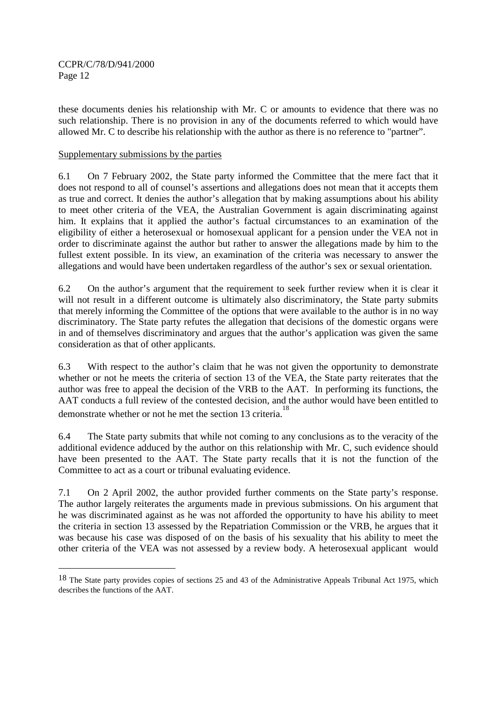-

these documents denies his relationship with Mr. C or amounts to evidence that there was no such relationship. There is no provision in any of the documents referred to which would have allowed Mr. C to describe his relationship with the author as there is no reference to "partner".

#### Supplementary submissions by the parties

6.1 On 7 February 2002, the State party informed the Committee that the mere fact that it does not respond to all of counsel's assertions and allegations does not mean that it accepts them as true and correct. It denies the author's allegation that by making assumptions about his ability to meet other criteria of the VEA, the Australian Government is again discriminating against him. It explains that it applied the author's factual circumstances to an examination of the eligibility of either a heterosexual or homosexual applicant for a pension under the VEA not in order to discriminate against the author but rather to answer the allegations made by him to the fullest extent possible. In its view, an examination of the criteria was necessary to answer the allegations and would have been undertaken regardless of the author's sex or sexual orientation.

6.2 On the author's argument that the requirement to seek further review when it is clear it will not result in a different outcome is ultimately also discriminatory, the State party submits that merely informing the Committee of the options that were available to the author is in no way discriminatory. The State party refutes the allegation that decisions of the domestic organs were in and of themselves discriminatory and argues that the author's application was given the same consideration as that of other applicants.

6.3 With respect to the author's claim that he was not given the opportunity to demonstrate whether or not he meets the criteria of section 13 of the VEA, the State party reiterates that the author was free to appeal the decision of the VRB to the AAT. In performing its functions, the AAT conducts a full review of the contested decision, and the author would have been entitled to demonstrate whether or not he met the section 13 criteria.<sup>18</sup>

6.4 The State party submits that while not coming to any conclusions as to the veracity of the additional evidence adduced by the author on this relationship with Mr. C, such evidence should have been presented to the AAT. The State party recalls that it is not the function of the Committee to act as a court or tribunal evaluating evidence.

7.1 On 2 April 2002, the author provided further comments on the State party's response. The author largely reiterates the arguments made in previous submissions. On his argument that he was discriminated against as he was not afforded the opportunity to have his ability to meet the criteria in section 13 assessed by the Repatriation Commission or the VRB, he argues that it was because his case was disposed of on the basis of his sexuality that his ability to meet the other criteria of the VEA was not assessed by a review body. A heterosexual applicant would

<sup>18</sup> The State party provides copies of sections 25 and 43 of the Administrative Appeals Tribunal Act 1975, which describes the functions of the AAT.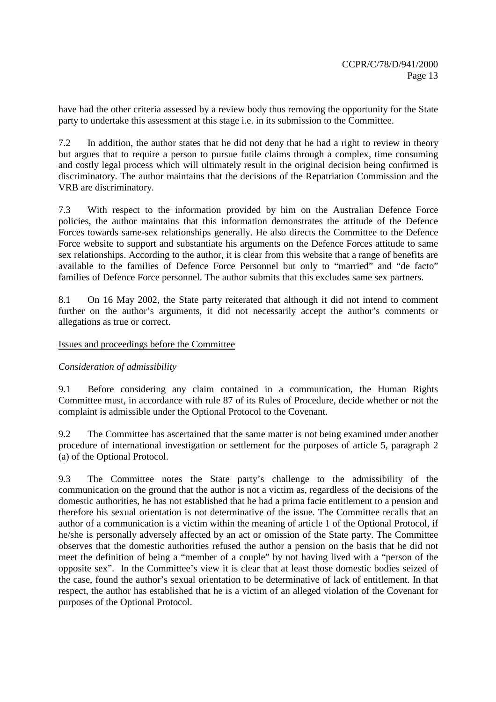have had the other criteria assessed by a review body thus removing the opportunity for the State party to undertake this assessment at this stage i.e. in its submission to the Committee.

7.2 In addition, the author states that he did not deny that he had a right to review in theory but argues that to require a person to pursue futile claims through a complex, time consuming and costly legal process which will ultimately result in the original decision being confirmed is discriminatory. The author maintains that the decisions of the Repatriation Commission and the VRB are discriminatory.

7.3 With respect to the information provided by him on the Australian Defence Force policies, the author maintains that this information demonstrates the attitude of the Defence Forces towards same-sex relationships generally. He also directs the Committee to the Defence Force website to support and substantiate his arguments on the Defence Forces attitude to same sex relationships. According to the author, it is clear from this website that a range of benefits are available to the families of Defence Force Personnel but only to "married" and "de facto" families of Defence Force personnel. The author submits that this excludes same sex partners.

8.1 On 16 May 2002, the State party reiterated that although it did not intend to comment further on the author's arguments, it did not necessarily accept the author's comments or allegations as true or correct.

#### Issues and proceedings before the Committee

#### *Consideration of admissibility*

9.1 Before considering any claim contained in a communication, the Human Rights Committee must, in accordance with rule 87 of its Rules of Procedure, decide whether or not the complaint is admissible under the Optional Protocol to the Covenant.

9.2 The Committee has ascertained that the same matter is not being examined under another procedure of international investigation or settlement for the purposes of article 5, paragraph 2 (a) of the Optional Protocol.

9.3 The Committee notes the State party's challenge to the admissibility of the communication on the ground that the author is not a victim as, regardless of the decisions of the domestic authorities, he has not established that he had a prima facie entitlement to a pension and therefore his sexual orientation is not determinative of the issue. The Committee recalls that an author of a communication is a victim within the meaning of article 1 of the Optional Protocol, if he/she is personally adversely affected by an act or omission of the State party. The Committee observes that the domestic authorities refused the author a pension on the basis that he did not meet the definition of being a "member of a couple" by not having lived with a "person of the opposite sex". In the Committee's view it is clear that at least those domestic bodies seized of the case, found the author's sexual orientation to be determinative of lack of entitlement. In that respect, the author has established that he is a victim of an alleged violation of the Covenant for purposes of the Optional Protocol.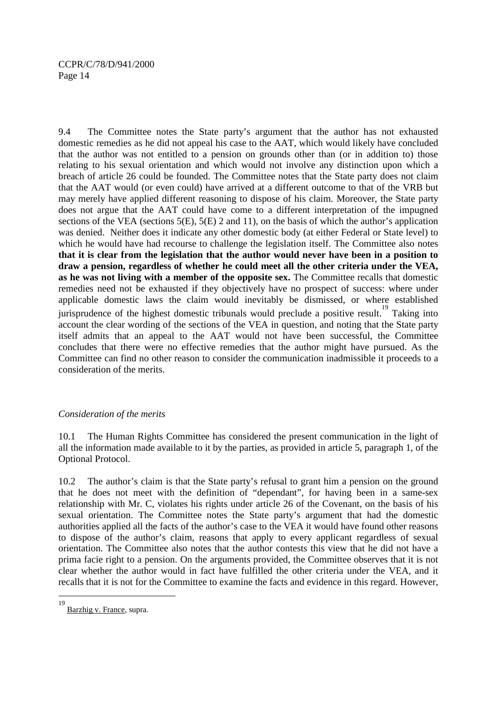9.4 The Committee notes the State party's argument that the author has not exhausted domestic remedies as he did not appeal his case to the AAT, which would likely have concluded that the author was not entitled to a pension on grounds other than (or in addition to) those relating to his sexual orientation and which would not involve any distinction upon which a breach of article 26 could be founded. The Committee notes that the State party does not claim that the AAT would (or even could) have arrived at a different outcome to that of the VRB but may merely have applied different reasoning to dispose of his claim. Moreover, the State party does not argue that the AAT could have come to a different interpretation of the impugned sections of the VEA (sections 5(E), 5(E) 2 and 11), on the basis of which the author's application was denied. Neither does it indicate any other domestic body (at either Federal or State level) to which he would have had recourse to challenge the legislation itself. The Committee also notes **that it is clear from the legislation that the author would never have been in a position to draw a pension, regardless of whether he could meet all the other criteria under the VEA, as he was not living with a member of the opposite sex.** The Committee recalls that domestic remedies need not be exhausted if they objectively have no prospect of success: where under applicable domestic laws the claim would inevitably be dismissed, or where established jurisprudence of the highest domestic tribunals would preclude a positive result. 19 Taking into account the clear wording of the sections of the VEA in question, and noting that the State party itself admits that an appeal to the AAT would not have been successful, the Committee concludes that there were no effective remedies that the author might have pursued. As the Committee can find no other reason to consider the communication inadmissible it proceeds to a consideration of the merits.

#### *Consideration of the merits*

10.1 The Human Rights Committee has considered the present communication in the light of all the information made available to it by the parties, as provided in article 5, paragraph 1, of the Optional Protocol.

10.2 The author's claim is that the State party's refusal to grant him a pension on the ground that he does not meet with the definition of "dependant", for having been in a same-sex relationship with Mr. C, violates his rights under article 26 of the Covenant, on the basis of his sexual orientation. The Committee notes the State party's argument that had the domestic authorities applied all the facts of the author's case to the VEA it would have found other reasons to dispose of the author's claim, reasons that apply to every applicant regardless of sexual orientation. The Committee also notes that the author contests this view that he did not have a prima facie right to a pension. On the arguments provided, the Committee observes that it is not clear whether the author would in fact have fulfilled the other criteria under the VEA, and it recalls that it is not for the Committee to examine the facts and evidence in this regard. However,

 $\frac{1}{19}$ Barzhig v. France, supra.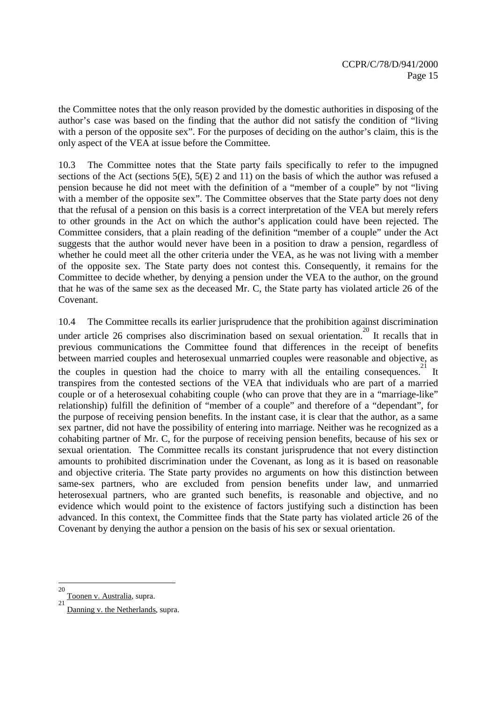the Committee notes that the only reason provided by the domestic authorities in disposing of the author's case was based on the finding that the author did not satisfy the condition of "living with a person of the opposite sex". For the purposes of deciding on the author's claim, this is the only aspect of the VEA at issue before the Committee.

10.3 The Committee notes that the State party fails specifically to refer to the impugned sections of the Act (sections 5(E), 5(E) 2 and 11) on the basis of which the author was refused a pension because he did not meet with the definition of a "member of a couple" by not "living with a member of the opposite sex". The Committee observes that the State party does not deny that the refusal of a pension on this basis is a correct interpretation of the VEA but merely refers to other grounds in the Act on which the author's application could have been rejected. The Committee considers, that a plain reading of the definition "member of a couple" under the Act suggests that the author would never have been in a position to draw a pension, regardless of whether he could meet all the other criteria under the VEA, as he was not living with a member of the opposite sex. The State party does not contest this. Consequently, it remains for the Committee to decide whether, by denying a pension under the VEA to the author, on the ground that he was of the same sex as the deceased Mr. C, the State party has violated article 26 of the Covenant.

10.4 The Committee recalls its earlier jurisprudence that the prohibition against discrimination under article 26 comprises also discrimination based on sexual orientation. It recalls that in previous communications the Committee found that differences in the receipt of benefits between married couples and heterosexual unmarried couples were reasonable and objective, as the couples in question had the choice to marry with all the entailing consequences.<sup>21</sup> It transpires from the contested sections of the VEA that individuals who are part of a married couple or of a heterosexual cohabiting couple (who can prove that they are in a "marriage-like" relationship) fulfill the definition of "member of a couple" and therefore of a "dependant", for the purpose of receiving pension benefits. In the instant case, it is clear that the author, as a same sex partner, did not have the possibility of entering into marriage. Neither was he recognized as a cohabiting partner of Mr. C, for the purpose of receiving pension benefits, because of his sex or sexual orientation. The Committee recalls its constant jurisprudence that not every distinction amounts to prohibited discrimination under the Covenant, as long as it is based on reasonable and objective criteria. The State party provides no arguments on how this distinction between same-sex partners, who are excluded from pension benefits under law, and unmarried heterosexual partners, who are granted such benefits, is reasonable and objective, and no evidence which would point to the existence of factors justifying such a distinction has been advanced. In this context, the Committee finds that the State party has violated article 26 of the Covenant by denying the author a pension on the basis of his sex or sexual orientation.

 $\overline{a}$ 

<sup>20</sup> Toonen v. Australia, supra. 21

Danning v. the Netherlands, supra.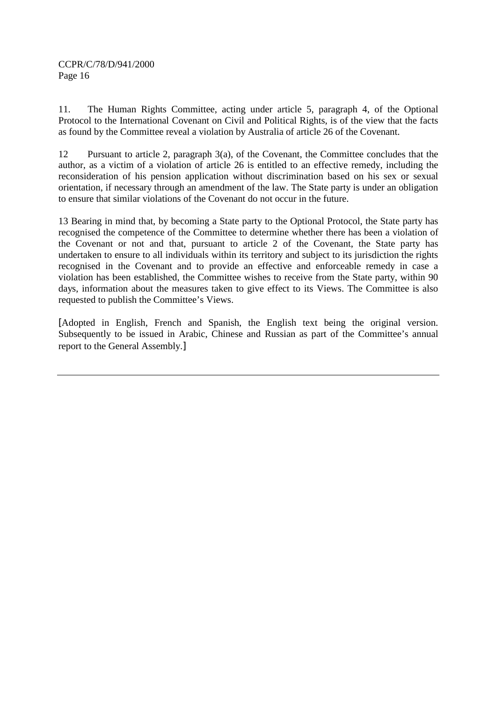11. The Human Rights Committee, acting under article 5, paragraph 4, of the Optional Protocol to the International Covenant on Civil and Political Rights, is of the view that the facts as found by the Committee reveal a violation by Australia of article 26 of the Covenant.

12 Pursuant to article 2, paragraph 3(a), of the Covenant, the Committee concludes that the author, as a victim of a violation of article 26 is entitled to an effective remedy, including the reconsideration of his pension application without discrimination based on his sex or sexual orientation, if necessary through an amendment of the law. The State party is under an obligation to ensure that similar violations of the Covenant do not occur in the future.

13 Bearing in mind that, by becoming a State party to the Optional Protocol, the State party has recognised the competence of the Committee to determine whether there has been a violation of the Covenant or not and that, pursuant to article 2 of the Covenant, the State party has undertaken to ensure to all individuals within its territory and subject to its jurisdiction the rights recognised in the Covenant and to provide an effective and enforceable remedy in case a violation has been established, the Committee wishes to receive from the State party, within 90 days, information about the measures taken to give effect to its Views. The Committee is also requested to publish the Committee's Views.

[Adopted in English, French and Spanish, the English text being the original version. Subsequently to be issued in Arabic. Chinese and Russian as part of the Committee's annual report to the General Assembly.]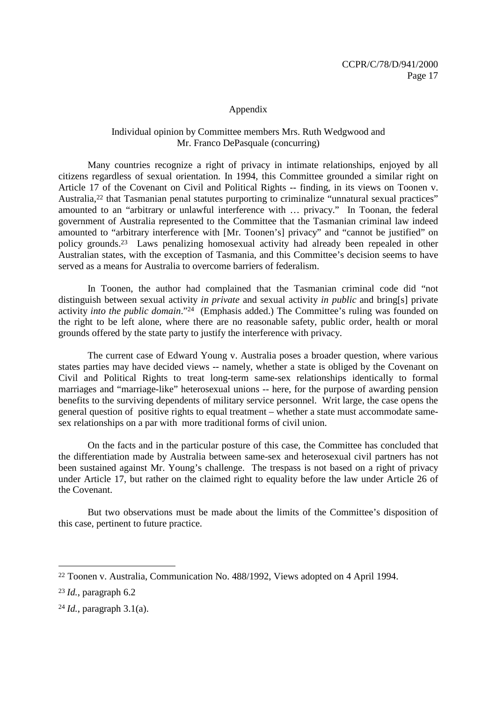#### Appendix

#### Individual opinion by Committee members Mrs. Ruth Wedgwood and Mr. Franco DePasquale (concurring)

 Many countries recognize a right of privacy in intimate relationships, enjoyed by all citizens regardless of sexual orientation. In 1994, this Committee grounded a similar right on Article 17 of the Covenant on Civil and Political Rights -- finding, in its views on Toonen v. Australia,22 that Tasmanian penal statutes purporting to criminalize "unnatural sexual practices" amounted to an "arbitrary or unlawful interference with … privacy." In Toonan, the federal government of Australia represented to the Committee that the Tasmanian criminal law indeed amounted to "arbitrary interference with [Mr. Toonen's] privacy" and "cannot be justified" on policy grounds.23 Laws penalizing homosexual activity had already been repealed in other Australian states, with the exception of Tasmania, and this Committee's decision seems to have served as a means for Australia to overcome barriers of federalism.

 In Toonen, the author had complained that the Tasmanian criminal code did "not distinguish between sexual activity *in private* and sexual activity *in public* and bring[s] private activity *into the public domain*."24 (Emphasis added.) The Committee's ruling was founded on the right to be left alone, where there are no reasonable safety, public order, health or moral grounds offered by the state party to justify the interference with privacy.

 The current case of Edward Young v. Australia poses a broader question, where various states parties may have decided views -- namely, whether a state is obliged by the Covenant on Civil and Political Rights to treat long-term same-sex relationships identically to formal marriages and "marriage-like" heterosexual unions -- here, for the purpose of awarding pension benefits to the surviving dependents of military service personnel. Writ large, the case opens the general question of positive rights to equal treatment – whether a state must accommodate samesex relationships on a par with more traditional forms of civil union.

 On the facts and in the particular posture of this case, the Committee has concluded that the differentiation made by Australia between same-sex and heterosexual civil partners has not been sustained against Mr. Young's challenge. The trespass is not based on a right of privacy under Article 17, but rather on the claimed right to equality before the law under Article 26 of the Covenant.

 But two observations must be made about the limits of the Committee's disposition of this case, pertinent to future practice.

-

<sup>22</sup> Toonen v. Australia, Communication No. 488/1992, Views adopted on 4 April 1994.

<sup>23</sup> *Id.*, paragraph 6.2

<sup>24</sup> *Id.*, paragraph 3.1(a).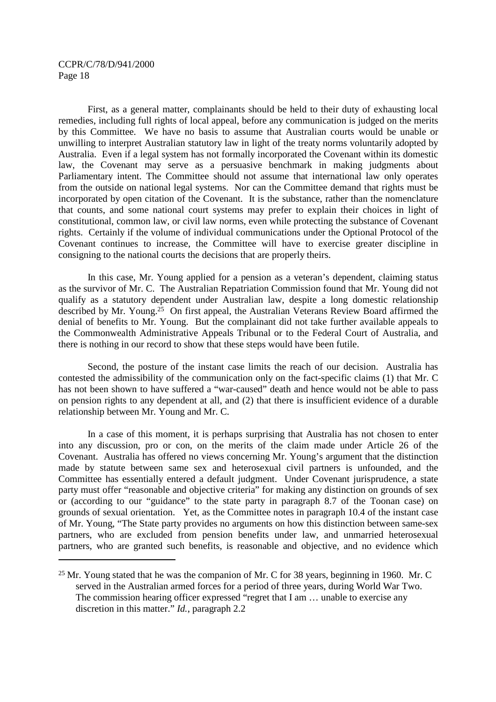1

 First, as a general matter, complainants should be held to their duty of exhausting local remedies, including full rights of local appeal, before any communication is judged on the merits by this Committee. We have no basis to assume that Australian courts would be unable or unwilling to interpret Australian statutory law in light of the treaty norms voluntarily adopted by Australia. Even if a legal system has not formally incorporated the Covenant within its domestic law, the Covenant may serve as a persuasive benchmark in making judgments about Parliamentary intent. The Committee should not assume that international law only operates from the outside on national legal systems. Nor can the Committee demand that rights must be incorporated by open citation of the Covenant. It is the substance, rather than the nomenclature that counts, and some national court systems may prefer to explain their choices in light of constitutional, common law, or civil law norms, even while protecting the substance of Covenant rights. Certainly if the volume of individual communications under the Optional Protocol of the Covenant continues to increase, the Committee will have to exercise greater discipline in consigning to the national courts the decisions that are properly theirs.

 In this case, Mr. Young applied for a pension as a veteran's dependent, claiming status as the survivor of Mr. C. The Australian Repatriation Commission found that Mr. Young did not qualify as a statutory dependent under Australian law, despite a long domestic relationship described by Mr. Young.25 On first appeal, the Australian Veterans Review Board affirmed the denial of benefits to Mr. Young. But the complainant did not take further available appeals to the Commonwealth Administrative Appeals Tribunal or to the Federal Court of Australia, and there is nothing in our record to show that these steps would have been futile.

 Second, the posture of the instant case limits the reach of our decision. Australia has contested the admissibility of the communication only on the fact-specific claims (1) that Mr. C has not been shown to have suffered a "war-caused" death and hence would not be able to pass on pension rights to any dependent at all, and (2) that there is insufficient evidence of a durable relationship between Mr. Young and Mr. C.

 In a case of this moment, it is perhaps surprising that Australia has not chosen to enter into any discussion, pro or con, on the merits of the claim made under Article 26 of the Covenant. Australia has offered no views concerning Mr. Young's argument that the distinction made by statute between same sex and heterosexual civil partners is unfounded, and the Committee has essentially entered a default judgment. Under Covenant jurisprudence, a state party must offer "reasonable and objective criteria" for making any distinction on grounds of sex or (according to our "guidance" to the state party in paragraph 8.7 of the Toonan case) on grounds of sexual orientation. Yet, as the Committee notes in paragraph 10.4 of the instant case of Mr. Young, "The State party provides no arguments on how this distinction between same-sex partners, who are excluded from pension benefits under law, and unmarried heterosexual partners, who are granted such benefits, is reasonable and objective, and no evidence which

<sup>25</sup> Mr. Young stated that he was the companion of Mr. C for 38 years, beginning in 1960. Mr. C served in the Australian armed forces for a period of three years, during World War Two. The commission hearing officer expressed "regret that I am … unable to exercise any discretion in this matter." *Id.*, paragraph 2.2